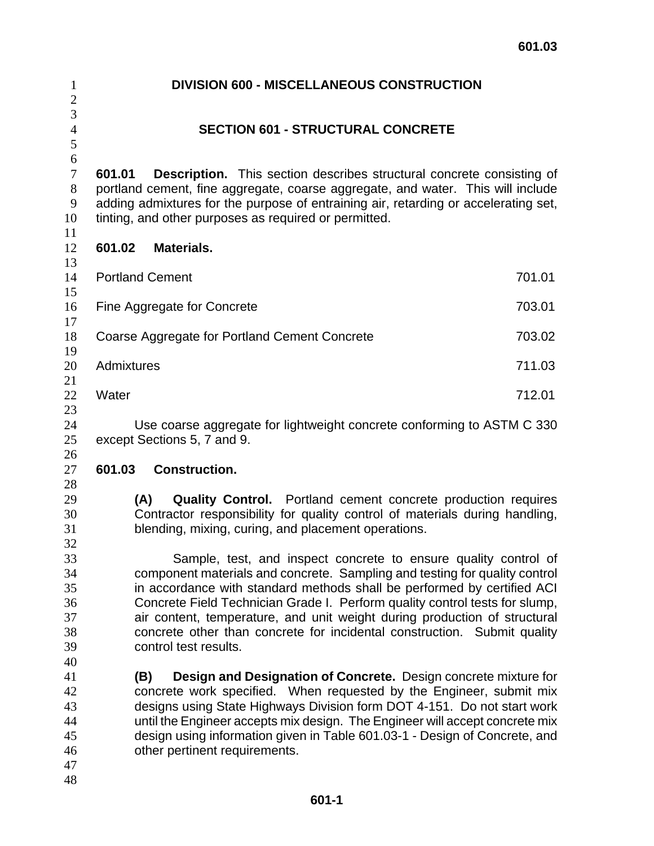| $\mathbf{1}$<br>$\overline{2}$               | <b>DIVISION 600 - MISCELLANEOUS CONSTRUCTION</b>                                                                                                                                                                                                                                                                                                                                                                                                                                          |        |
|----------------------------------------------|-------------------------------------------------------------------------------------------------------------------------------------------------------------------------------------------------------------------------------------------------------------------------------------------------------------------------------------------------------------------------------------------------------------------------------------------------------------------------------------------|--------|
| 3                                            |                                                                                                                                                                                                                                                                                                                                                                                                                                                                                           |        |
| $\overline{4}$                               | <b>SECTION 601 - STRUCTURAL CONCRETE</b>                                                                                                                                                                                                                                                                                                                                                                                                                                                  |        |
| 5<br>6                                       |                                                                                                                                                                                                                                                                                                                                                                                                                                                                                           |        |
| $\tau$<br>8<br>9<br>10<br>11                 | 601.01<br><b>Description.</b> This section describes structural concrete consisting of<br>portland cement, fine aggregate, coarse aggregate, and water. This will include<br>adding admixtures for the purpose of entraining air, retarding or accelerating set,<br>tinting, and other purposes as required or permitted.                                                                                                                                                                 |        |
| 12<br>13                                     | <b>Materials.</b><br>601.02                                                                                                                                                                                                                                                                                                                                                                                                                                                               |        |
| 14<br>15                                     | <b>Portland Cement</b>                                                                                                                                                                                                                                                                                                                                                                                                                                                                    | 701.01 |
| 16<br>17                                     | Fine Aggregate for Concrete                                                                                                                                                                                                                                                                                                                                                                                                                                                               | 703.01 |
| 18<br>19                                     | Coarse Aggregate for Portland Cement Concrete                                                                                                                                                                                                                                                                                                                                                                                                                                             | 703.02 |
| 20<br>21                                     | Admixtures                                                                                                                                                                                                                                                                                                                                                                                                                                                                                | 711.03 |
| 22<br>23                                     | Water                                                                                                                                                                                                                                                                                                                                                                                                                                                                                     | 712.01 |
| 24<br>25                                     | Use coarse aggregate for lightweight concrete conforming to ASTM C 330<br>except Sections 5, 7 and 9.                                                                                                                                                                                                                                                                                                                                                                                     |        |
| 26<br>27<br>28                               | 601.03<br><b>Construction.</b>                                                                                                                                                                                                                                                                                                                                                                                                                                                            |        |
| 29<br>30<br>31<br>32                         | (A)<br><b>Quality Control.</b> Portland cement concrete production requires<br>Contractor responsibility for quality control of materials during handling,<br>blending, mixing, curing, and placement operations.                                                                                                                                                                                                                                                                         |        |
| 33<br>34<br>35<br>36<br>37<br>38<br>39<br>40 | Sample, test, and inspect concrete to ensure quality control of<br>component materials and concrete. Sampling and testing for quality control<br>in accordance with standard methods shall be performed by certified ACI<br>Concrete Field Technician Grade I. Perform quality control tests for slump,<br>air content, temperature, and unit weight during production of structural<br>concrete other than concrete for incidental construction. Submit quality<br>control test results. |        |
| 41<br>42<br>43<br>44<br>45<br>46<br>47<br>48 | Design and Designation of Concrete. Design concrete mixture for<br>(B)<br>concrete work specified. When requested by the Engineer, submit mix<br>designs using State Highways Division form DOT 4-151. Do not start work<br>until the Engineer accepts mix design. The Engineer will accept concrete mix<br>design using information given in Table 601.03-1 - Design of Concrete, and<br>other pertinent requirements.                                                                   |        |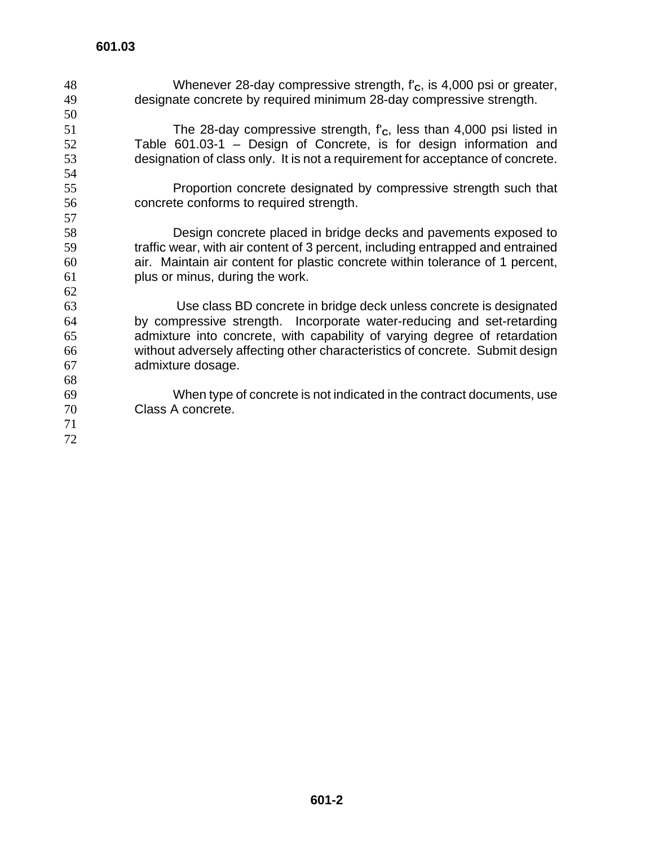- Whenever 28-day compressive strength, f'**C**, is 4,000 psi or greater, designate concrete by required minimum 28-day compressive strength.
- 51 The 28-day compressive strength, f'<sub>c</sub>, less than 4,000 psi listed in<br>52 Table 601.03-1 Design of Concrete, is for design information and Table  $601.03-1$  – Design of Concrete, is for design information and designation of class only. It is not a requirement for acceptance of concrete.
- Proportion concrete designated by compressive strength such that concrete conforms to required strength.

Design concrete placed in bridge decks and pavements exposed to traffic wear, with air content of 3 percent, including entrapped and entrained air. Maintain air content for plastic concrete within tolerance of 1 percent, plus or minus, during the work.

Use class BD concrete in bridge deck unless concrete is designated by compressive strength. Incorporate water-reducing and set-retarding admixture into concrete, with capability of varying degree of retardation without adversely affecting other characteristics of concrete. Submit design admixture dosage.

When type of concrete is not indicated in the contract documents, use Class A concrete.

 **601-2**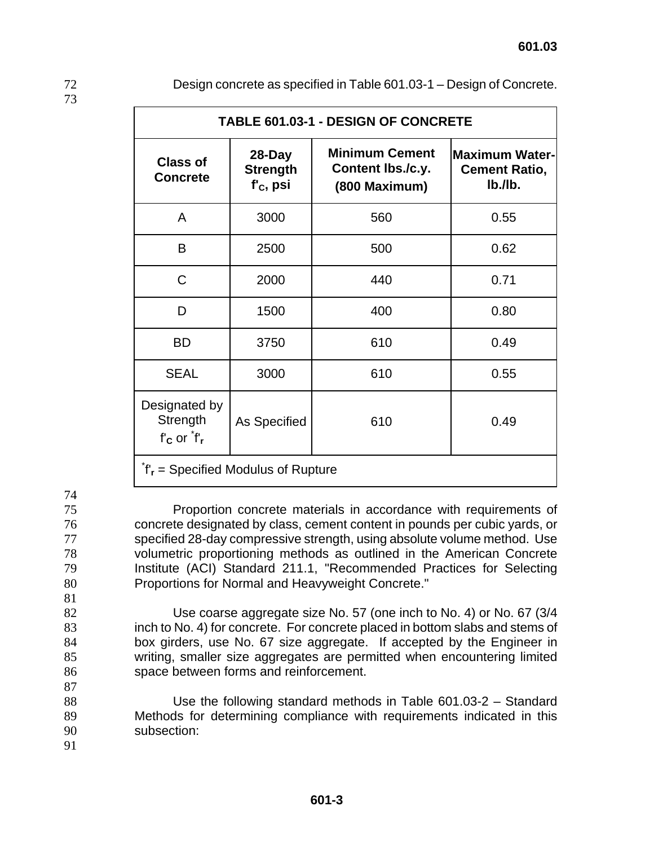| r |  |
|---|--|
|   |  |

Design concrete as specified in Table 601.03-1 – Design of Concrete.

| <b>TABLE 601.03-1 - DESIGN OF CONCRETE</b>                |                                             |                                                             |                                                             |
|-----------------------------------------------------------|---------------------------------------------|-------------------------------------------------------------|-------------------------------------------------------------|
| <b>Class of</b><br><b>Concrete</b>                        | 28-Day<br><b>Strength</b><br>$f'_{C}$ , psi | <b>Minimum Cement</b><br>Content Ibs./c.y.<br>(800 Maximum) | <b>Maximum Water-</b><br><b>Cement Ratio,</b><br>$Ib$ ./lb. |
| A                                                         | 3000                                        | 560                                                         | 0.55                                                        |
| B                                                         | 2500                                        | 500                                                         | 0.62                                                        |
| $\mathsf C$                                               | 2000                                        | 440                                                         | 0.71                                                        |
| D                                                         | 1500                                        | 400                                                         | 0.80                                                        |
| <b>BD</b>                                                 | 3750                                        | 610                                                         | 0.49                                                        |
| <b>SEAL</b>                                               | 3000                                        | 610                                                         | 0.55                                                        |
| Designated by<br>Strength<br>$f'_{\rm C}$ or $f'_{\rm r}$ | As Specified                                | 610                                                         | 0.49                                                        |
| $\hat{f}_r$ = Specified Modulus of Rupture                |                                             |                                                             |                                                             |

74

Proportion concrete materials in accordance with requirements of concrete designated by class, cement content in pounds per cubic yards, or specified 28-day compressive strength, using absolute volume method. Use volumetric proportioning methods as outlined in the American Concrete Institute (ACI) Standard 211.1, "Recommended Practices for Selecting 80 Proportions for Normal and Heavyweight Concrete."

81

Use coarse aggregate size No. 57 (one inch to No. 4) or No. 67 (3/4 inch to No. 4) for concrete. For concrete placed in bottom slabs and stems of box girders, use No. 67 size aggregate. If accepted by the Engineer in writing, smaller size aggregates are permitted when encountering limited space between forms and reinforcement.

88 Use the following standard methods in Table 601.03-2 – Standard 89 Methods for determining compliance with requirements indicated in this 90 subsection:

91

87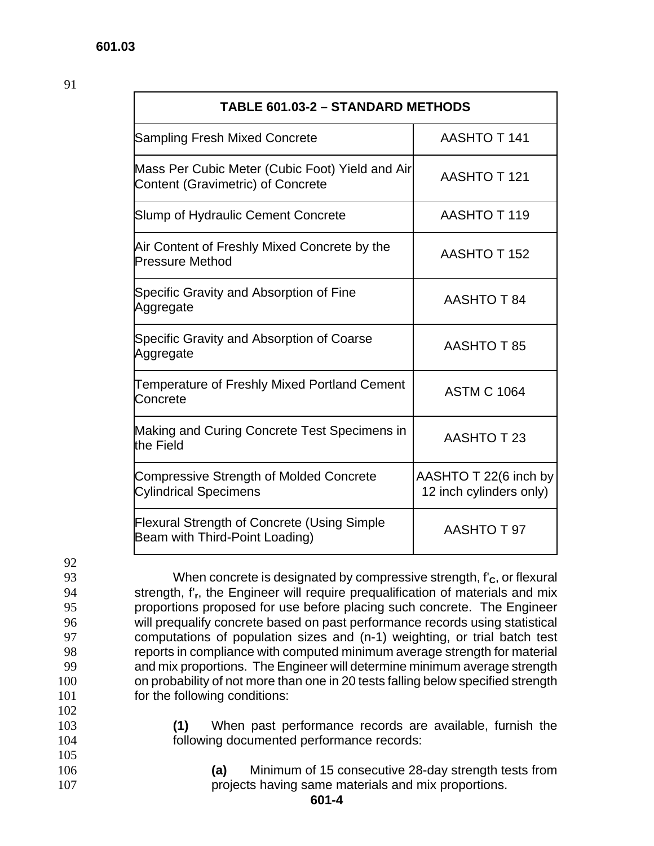| <b>TABLE 601.03-2 - STANDARD METHODS</b>                                                    |                                                  |
|---------------------------------------------------------------------------------------------|--------------------------------------------------|
| <b>Sampling Fresh Mixed Concrete</b>                                                        | AASHTO T 141                                     |
| Mass Per Cubic Meter (Cubic Foot) Yield and Air<br><b>Content (Gravimetric) of Concrete</b> | AASHTO T 121                                     |
| <b>Slump of Hydraulic Cement Concrete</b>                                                   | AASHTO T 119                                     |
| Air Content of Freshly Mixed Concrete by the<br><b>Pressure Method</b>                      | <b>AASHTO T 152</b>                              |
| Specific Gravity and Absorption of Fine<br>Aggregate                                        | <b>AASHTO T 84</b>                               |
| Specific Gravity and Absorption of Coarse<br>Aggregate                                      | AASHTO T 85                                      |
| Temperature of Freshly Mixed Portland Cement<br>Concrete                                    | <b>ASTM C 1064</b>                               |
| Making and Curing Concrete Test Specimens in<br>the Field                                   | AASHTO T 23                                      |
| <b>Compressive Strength of Molded Concrete</b><br><b>Cylindrical Specimens</b>              | AASHTO T 22(6 inch by<br>12 inch cylinders only) |
| <b>Flexural Strength of Concrete (Using Simple</b><br>Beam with Third-Point Loading)        | AASHTO T 97                                      |

92

105

When concrete is designated by compressive strength, f'**C**, or flexural strength, f'**r**, the Engineer will require prequalification of materials and mix proportions proposed for use before placing such concrete. The Engineer will prequalify concrete based on past performance records using statistical computations of population sizes and (n-1) weighting, or trial batch test reports in compliance with computed minimum average strength for material and mix proportions. The Engineer will determine minimum average strength on probability of not more than one in 20 tests falling below specified strength 101 for the following conditions: 102

- 103 **(1)** When past performance records are available, furnish the 104 following documented performance records:
- 106 **(a)** Minimum of 15 consecutive 28-day strength tests from 107 **projects having same materials and mix proportions.**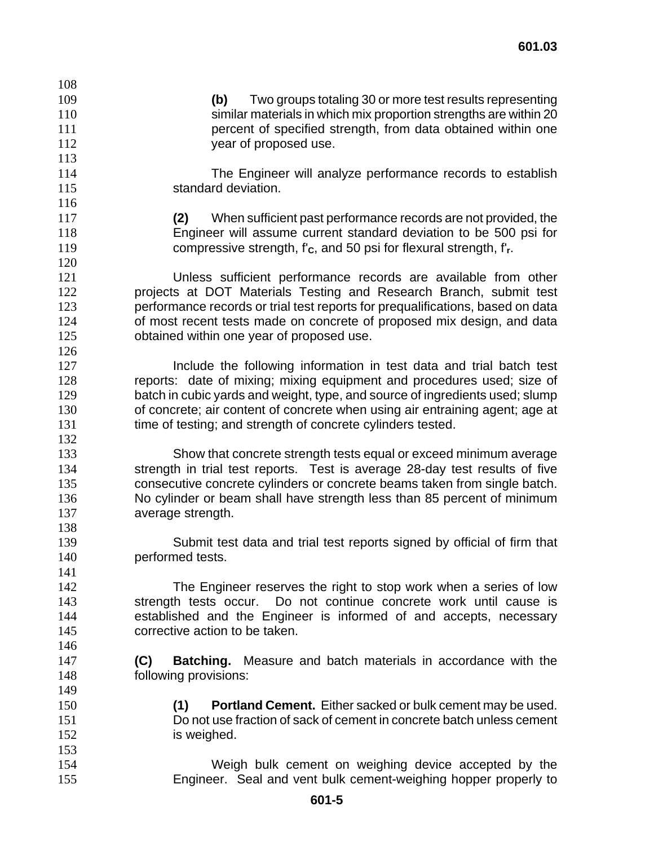| 108 |                                                                                                                                      |
|-----|--------------------------------------------------------------------------------------------------------------------------------------|
| 109 | Two groups totaling 30 or more test results representing<br>(b)                                                                      |
| 110 | similar materials in which mix proportion strengths are within 20                                                                    |
| 111 | percent of specified strength, from data obtained within one                                                                         |
| 112 | year of proposed use.                                                                                                                |
| 113 |                                                                                                                                      |
| 114 | The Engineer will analyze performance records to establish                                                                           |
| 115 | standard deviation.                                                                                                                  |
| 116 |                                                                                                                                      |
| 117 | When sufficient past performance records are not provided, the<br>(2)                                                                |
| 118 | Engineer will assume current standard deviation to be 500 psi for                                                                    |
| 119 | compressive strength, $f_c$ , and 50 psi for flexural strength, $f_r$ .                                                              |
| 120 |                                                                                                                                      |
| 121 |                                                                                                                                      |
| 122 | Unless sufficient performance records are available from other<br>projects at DOT Materials Testing and Research Branch, submit test |
|     |                                                                                                                                      |
| 123 | performance records or trial test reports for prequalifications, based on data                                                       |
| 124 | of most recent tests made on concrete of proposed mix design, and data                                                               |
| 125 | obtained within one year of proposed use.                                                                                            |
| 126 |                                                                                                                                      |
| 127 | Include the following information in test data and trial batch test                                                                  |
| 128 | reports: date of mixing; mixing equipment and procedures used; size of                                                               |
| 129 | batch in cubic yards and weight, type, and source of ingredients used; slump                                                         |
| 130 | of concrete; air content of concrete when using air entraining agent; age at                                                         |
| 131 | time of testing; and strength of concrete cylinders tested.                                                                          |
| 132 |                                                                                                                                      |
| 133 | Show that concrete strength tests equal or exceed minimum average                                                                    |
| 134 | strength in trial test reports. Test is average 28-day test results of five                                                          |
| 135 | consecutive concrete cylinders or concrete beams taken from single batch.                                                            |
| 136 | No cylinder or beam shall have strength less than 85 percent of minimum                                                              |
| 137 | average strength.                                                                                                                    |
| 138 |                                                                                                                                      |
| 139 | Submit test data and trial test reports signed by official of firm that                                                              |
| 140 | performed tests.                                                                                                                     |
| 141 |                                                                                                                                      |
| 142 | The Engineer reserves the right to stop work when a series of low                                                                    |
| 143 | strength tests occur. Do not continue concrete work until cause is                                                                   |
| 144 | established and the Engineer is informed of and accepts, necessary                                                                   |
| 145 | corrective action to be taken.                                                                                                       |
| 146 |                                                                                                                                      |
| 147 | (C)<br><b>Batching.</b> Measure and batch materials in accordance with the                                                           |
| 148 | following provisions:                                                                                                                |
| 149 |                                                                                                                                      |
| 150 | <b>Portland Cement.</b> Either sacked or bulk cement may be used.<br>(1)                                                             |
| 151 | Do not use fraction of sack of cement in concrete batch unless cement                                                                |
| 152 | is weighed.                                                                                                                          |
| 153 |                                                                                                                                      |
| 154 | Weigh bulk cement on weighing device accepted by the                                                                                 |
| 155 | Engineer. Seal and vent bulk cement-weighing hopper properly to                                                                      |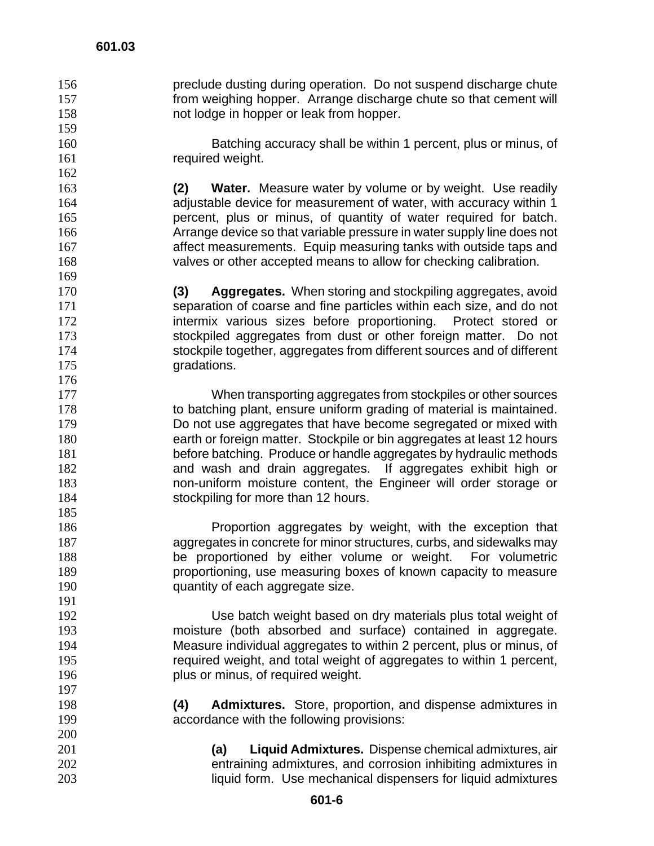preclude dusting during operation. Do not suspend discharge chute from weighing hopper. Arrange discharge chute so that cement will not lodge in hopper or leak from hopper.

Batching accuracy shall be within 1 percent, plus or minus, of 161 required weight.

**(2) Water.** Measure water by volume or by weight. Use readily adjustable device for measurement of water, with accuracy within 1 percent, plus or minus, of quantity of water required for batch. Arrange device so that variable pressure in water supply line does not affect measurements. Equip measuring tanks with outside taps and valves or other accepted means to allow for checking calibration.

**(3) Aggregates.** When storing and stockpiling aggregates, avoid separation of coarse and fine particles within each size, and do not **intermix various sizes before proportioning.** Protect stored or stockpiled aggregates from dust or other foreign matter. Do not stockpile together, aggregates from different sources and of different 175 gradations. 

When transporting aggregates from stockpiles or other sources to batching plant, ensure uniform grading of material is maintained. Do not use aggregates that have become segregated or mixed with earth or foreign matter. Stockpile or bin aggregates at least 12 hours before batching. Produce or handle aggregates by hydraulic methods and wash and drain aggregates. If aggregates exhibit high or non-uniform moisture content, the Engineer will order storage or 184 stockpiling for more than 12 hours.

**Proportion aggregates by weight, with the exception that** aggregates in concrete for minor structures, curbs, and sidewalks may be proportioned by either volume or weight. For volumetric proportioning, use measuring boxes of known capacity to measure **quantity of each aggregate size.** 

Use batch weight based on dry materials plus total weight of moisture (both absorbed and surface) contained in aggregate. Measure individual aggregates to within 2 percent, plus or minus, of required weight, and total weight of aggregates to within 1 percent, **plus or minus, of required weight.** 

- **(4) Admixtures.** Store, proportion, and dispense admixtures in accordance with the following provisions:
- **(a) Liquid Admixtures.** Dispense chemical admixtures, air entraining admixtures, and corrosion inhibiting admixtures in liquid form. Use mechanical dispensers for liquid admixtures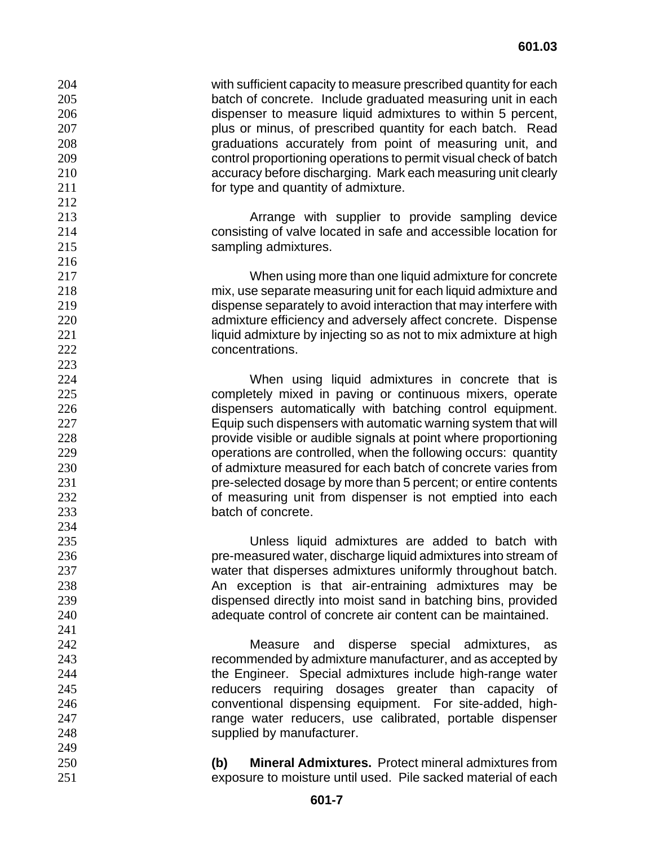with sufficient capacity to measure prescribed quantity for each batch of concrete. Include graduated measuring unit in each dispenser to measure liquid admixtures to within 5 percent, plus or minus, of prescribed quantity for each batch. Read graduations accurately from point of measuring unit, and control proportioning operations to permit visual check of batch accuracy before discharging. Mark each measuring unit clearly *Compary of type and quantity of admixture.*  Arrange with supplier to provide sampling device consisting of valve located in safe and accessible location for **Sampling admixtures.**  When using more than one liquid admixture for concrete mix, use separate measuring unit for each liquid admixture and dispense separately to avoid interaction that may interfere with admixture efficiency and adversely affect concrete. Dispense 221 liquid admixture by injecting so as not to mix admixture at high concentrations. When using liquid admixtures in concrete that is completely mixed in paving or continuous mixers, operate dispensers automatically with batching control equipment. Equip such dispensers with automatic warning system that will provide visible or audible signals at point where proportioning operations are controlled, when the following occurs: quantity of admixture measured for each batch of concrete varies from pre-selected dosage by more than 5 percent; or entire contents **b** of measuring unit from dispenser is not emptied into each batch of concrete. Unless liquid admixtures are added to batch with pre-measured water, discharge liquid admixtures into stream of water that disperses admixtures uniformly throughout batch. 238 An exception is that air-entraining admixtures may be dispensed directly into moist sand in batching bins, provided adequate control of concrete air content can be maintained. Measure and disperse special admixtures, as recommended by admixture manufacturer, and as accepted by the Engineer. Special admixtures include high-range water reducers requiring dosages greater than capacity of conventional dispensing equipment. For site-added, high-range water reducers, use calibrated, portable dispenser supplied by manufacturer. **(b) Mineral Admixtures.** Protect mineral admixtures from exposure to moisture until used. Pile sacked material of each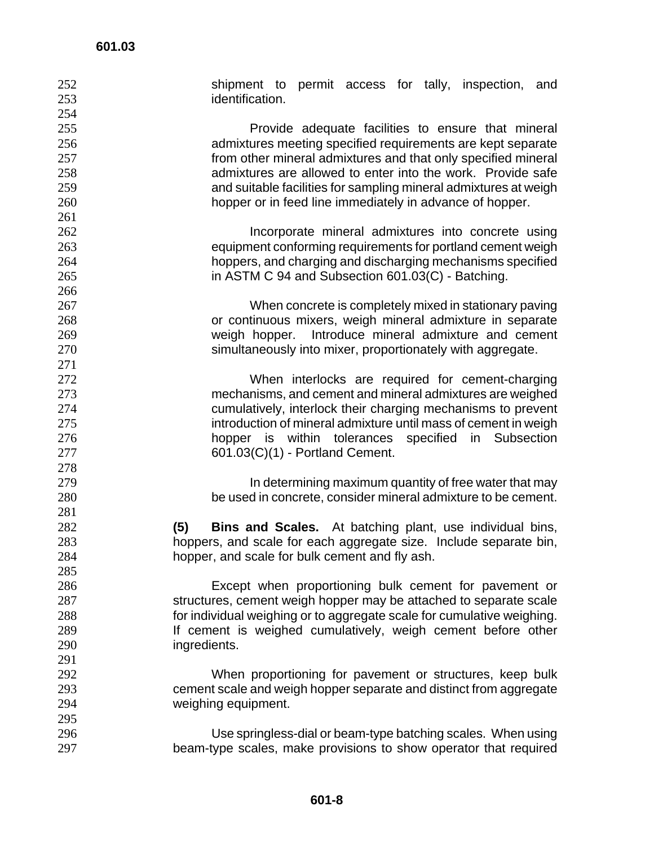| 252 | shipment to permit access for tally, inspection,<br>and                |
|-----|------------------------------------------------------------------------|
| 253 | identification.                                                        |
| 254 |                                                                        |
| 255 | Provide adequate facilities to ensure that mineral                     |
| 256 | admixtures meeting specified requirements are kept separate            |
| 257 | from other mineral admixtures and that only specified mineral          |
| 258 | admixtures are allowed to enter into the work. Provide safe            |
| 259 | and suitable facilities for sampling mineral admixtures at weigh       |
| 260 | hopper or in feed line immediately in advance of hopper.               |
| 261 |                                                                        |
| 262 | Incorporate mineral admixtures into concrete using                     |
| 263 | equipment conforming requirements for portland cement weigh            |
| 264 | hoppers, and charging and discharging mechanisms specified             |
| 265 | in ASTM C 94 and Subsection 601.03(C) - Batching.                      |
| 266 |                                                                        |
| 267 | When concrete is completely mixed in stationary paving                 |
| 268 | or continuous mixers, weigh mineral admixture in separate              |
| 269 | weigh hopper. Introduce mineral admixture and cement                   |
| 270 | simultaneously into mixer, proportionately with aggregate.             |
| 271 |                                                                        |
| 272 | When interlocks are required for cement-charging                       |
| 273 | mechanisms, and cement and mineral admixtures are weighed              |
| 274 | cumulatively, interlock their charging mechanisms to prevent           |
| 275 | introduction of mineral admixture until mass of cement in weigh        |
| 276 | hopper is within tolerances specified<br>in<br>Subsection              |
| 277 | 601.03(C)(1) - Portland Cement.                                        |
| 278 |                                                                        |
| 279 | In determining maximum quantity of free water that may                 |
| 280 | be used in concrete, consider mineral admixture to be cement.          |
| 281 |                                                                        |
| 282 | (5)<br><b>Bins and Scales.</b> At batching plant, use individual bins, |
| 283 | hoppers, and scale for each aggregate size. Include separate bin,      |
| 284 | hopper, and scale for bulk cement and fly ash.                         |
| 285 |                                                                        |
| 286 | Except when proportioning bulk cement for pavement or                  |
| 287 | structures, cement weigh hopper may be attached to separate scale      |
| 288 | for individual weighing or to aggregate scale for cumulative weighing. |
| 289 | If cement is weighed cumulatively, weigh cement before other           |
| 290 | ingredients.                                                           |
| 291 |                                                                        |
| 292 | When proportioning for pavement or structures, keep bulk               |
| 293 | cement scale and weigh hopper separate and distinct from aggregate     |
| 294 |                                                                        |
| 295 | weighing equipment.                                                    |
|     |                                                                        |
| 296 | Use springless-dial or beam-type batching scales. When using           |
| 297 | beam-type scales, make provisions to show operator that required       |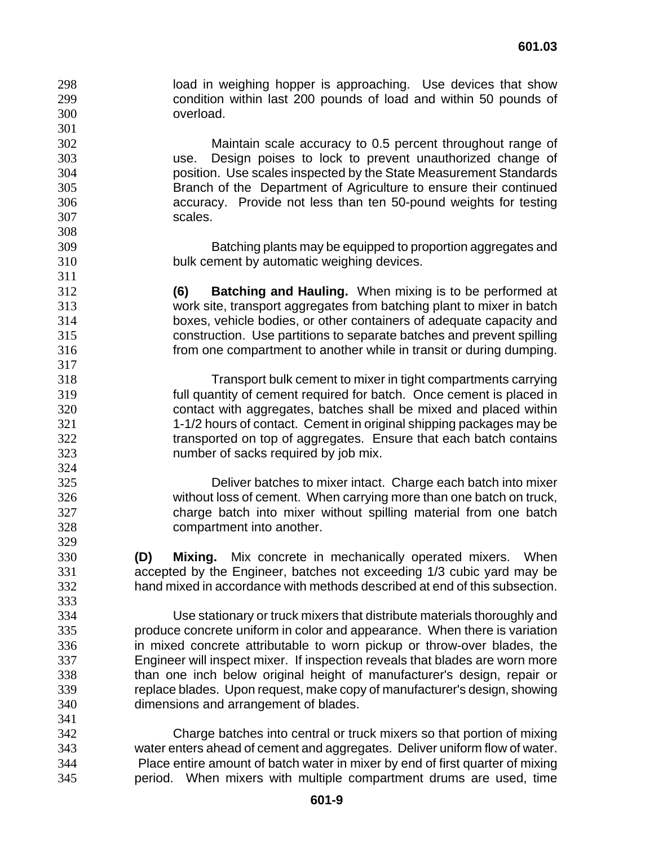load in weighing hopper is approaching. Use devices that show condition within last 200 pounds of load and within 50 pounds of overload.

Maintain scale accuracy to 0.5 percent throughout range of use. Design poises to lock to prevent unauthorized change of position. Use scales inspected by the State Measurement Standards Branch of the Department of Agriculture to ensure their continued accuracy. Provide not less than ten 50-pound weights for testing scales.

Batching plants may be equipped to proportion aggregates and bulk cement by automatic weighing devices.

**(6) Batching and Hauling.** When mixing is to be performed at work site, transport aggregates from batching plant to mixer in batch boxes, vehicle bodies, or other containers of adequate capacity and construction. Use partitions to separate batches and prevent spilling from one compartment to another while in transit or during dumping.

Transport bulk cement to mixer in tight compartments carrying full quantity of cement required for batch. Once cement is placed in contact with aggregates, batches shall be mixed and placed within 1-1/2 hours of contact. Cement in original shipping packages may be transported on top of aggregates. Ensure that each batch contains number of sacks required by job mix.

Deliver batches to mixer intact. Charge each batch into mixer without loss of cement. When carrying more than one batch on truck, charge batch into mixer without spilling material from one batch compartment into another.

**(D) Mixing.** Mix concrete in mechanically operated mixers. When accepted by the Engineer, batches not exceeding 1/3 cubic yard may be hand mixed in accordance with methods described at end of this subsection.

Use stationary or truck mixers that distribute materials thoroughly and produce concrete uniform in color and appearance. When there is variation in mixed concrete attributable to worn pickup or throw-over blades, the Engineer will inspect mixer. If inspection reveals that blades are worn more than one inch below original height of manufacturer's design, repair or replace blades. Upon request, make copy of manufacturer's design, showing dimensions and arrangement of blades.

Charge batches into central or truck mixers so that portion of mixing water enters ahead of cement and aggregates. Deliver uniform flow of water. Place entire amount of batch water in mixer by end of first quarter of mixing period. When mixers with multiple compartment drums are used, time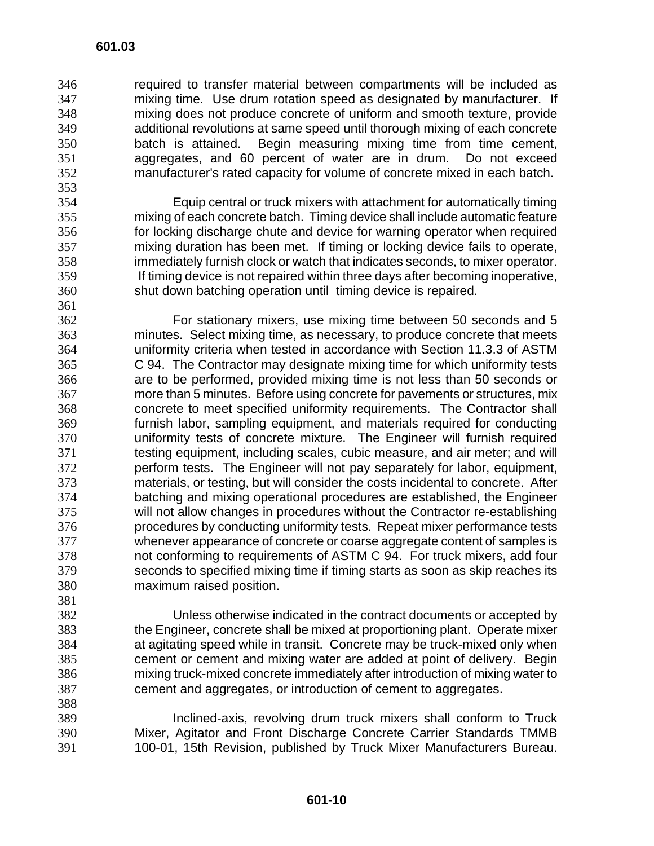required to transfer material between compartments will be included as mixing time. Use drum rotation speed as designated by manufacturer. If mixing does not produce concrete of uniform and smooth texture, provide additional revolutions at same speed until thorough mixing of each concrete batch is attained. Begin measuring mixing time from time cement, aggregates, and 60 percent of water are in drum. Do not exceed manufacturer's rated capacity for volume of concrete mixed in each batch.

- Equip central or truck mixers with attachment for automatically timing mixing of each concrete batch. Timing device shall include automatic feature for locking discharge chute and device for warning operator when required mixing duration has been met. If timing or locking device fails to operate, immediately furnish clock or watch that indicates seconds, to mixer operator. If timing device is not repaired within three days after becoming inoperative, shut down batching operation until timing device is repaired.
- For stationary mixers, use mixing time between 50 seconds and 5 minutes. Select mixing time, as necessary, to produce concrete that meets uniformity criteria when tested in accordance with Section 11.3.3 of ASTM C 94. The Contractor may designate mixing time for which uniformity tests are to be performed, provided mixing time is not less than 50 seconds or more than 5 minutes. Before using concrete for pavements or structures, mix concrete to meet specified uniformity requirements. The Contractor shall furnish labor, sampling equipment, and materials required for conducting uniformity tests of concrete mixture. The Engineer will furnish required testing equipment, including scales, cubic measure, and air meter; and will perform tests. The Engineer will not pay separately for labor, equipment, materials, or testing, but will consider the costs incidental to concrete. After batching and mixing operational procedures are established, the Engineer will not allow changes in procedures without the Contractor re-establishing procedures by conducting uniformity tests. Repeat mixer performance tests whenever appearance of concrete or coarse aggregate content of samples is not conforming to requirements of ASTM C 94. For truck mixers, add four seconds to specified mixing time if timing starts as soon as skip reaches its maximum raised position.
- 

Unless otherwise indicated in the contract documents or accepted by the Engineer, concrete shall be mixed at proportioning plant. Operate mixer at agitating speed while in transit. Concrete may be truck-mixed only when cement or cement and mixing water are added at point of delivery. Begin mixing truck-mixed concrete immediately after introduction of mixing water to cement and aggregates, or introduction of cement to aggregates.

Inclined-axis, revolving drum truck mixers shall conform to Truck Mixer, Agitator and Front Discharge Concrete Carrier Standards TMMB 100-01, 15th Revision, published by Truck Mixer Manufacturers Bureau.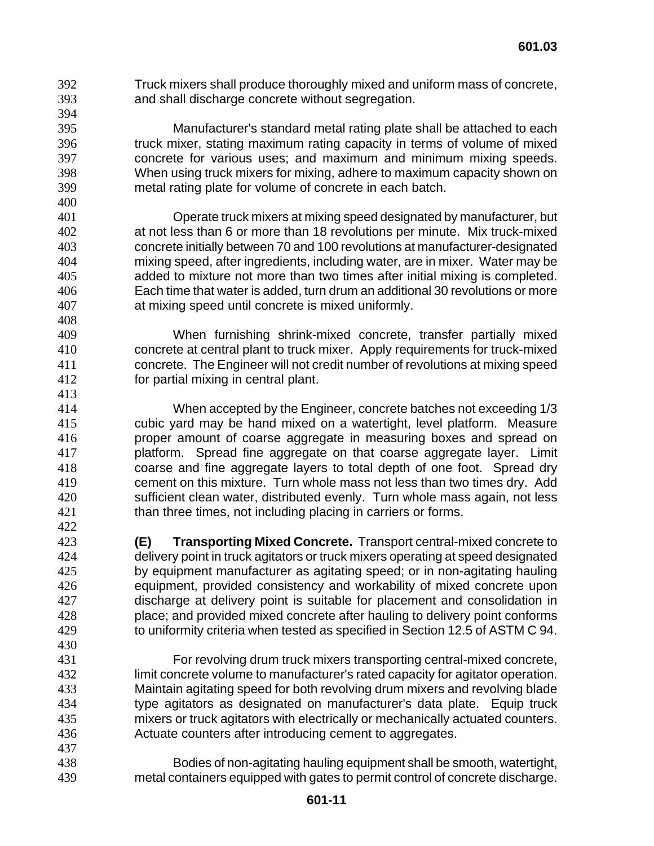Truck mixers shall produce thoroughly mixed and uniform mass of concrete, and shall discharge concrete without segregation.

Manufacturer's standard metal rating plate shall be attached to each truck mixer, stating maximum rating capacity in terms of volume of mixed concrete for various uses; and maximum and minimum mixing speeds. When using truck mixers for mixing, adhere to maximum capacity shown on metal rating plate for volume of concrete in each batch.

Operate truck mixers at mixing speed designated by manufacturer, but at not less than 6 or more than 18 revolutions per minute. Mix truck-mixed concrete initially between 70 and 100 revolutions at manufacturer-designated mixing speed, after ingredients, including water, are in mixer. Water may be added to mixture not more than two times after initial mixing is completed. Each time that water is added, turn drum an additional 30 revolutions or more at mixing speed until concrete is mixed uniformly.

When furnishing shrink-mixed concrete, transfer partially mixed concrete at central plant to truck mixer. Apply requirements for truck-mixed concrete. The Engineer will not credit number of revolutions at mixing speed for partial mixing in central plant. 

When accepted by the Engineer, concrete batches not exceeding 1/3 cubic yard may be hand mixed on a watertight, level platform. Measure proper amount of coarse aggregate in measuring boxes and spread on platform. Spread fine aggregate on that coarse aggregate layer. Limit coarse and fine aggregate layers to total depth of one foot. Spread dry cement on this mixture. Turn whole mass not less than two times dry. Add sufficient clean water, distributed evenly. Turn whole mass again, not less than three times, not including placing in carriers or forms.

- **(E) Transporting Mixed Concrete.** Transport central-mixed concrete to delivery point in truck agitators or truck mixers operating at speed designated by equipment manufacturer as agitating speed; or in non-agitating hauling equipment, provided consistency and workability of mixed concrete upon discharge at delivery point is suitable for placement and consolidation in place; and provided mixed concrete after hauling to delivery point conforms to uniformity criteria when tested as specified in Section 12.5 of ASTM C 94.
- For revolving drum truck mixers transporting central-mixed concrete, limit concrete volume to manufacturer's rated capacity for agitator operation. Maintain agitating speed for both revolving drum mixers and revolving blade type agitators as designated on manufacturer's data plate. Equip truck mixers or truck agitators with electrically or mechanically actuated counters. Actuate counters after introducing cement to aggregates.
- Bodies of non-agitating hauling equipment shall be smooth, watertight, metal containers equipped with gates to permit control of concrete discharge.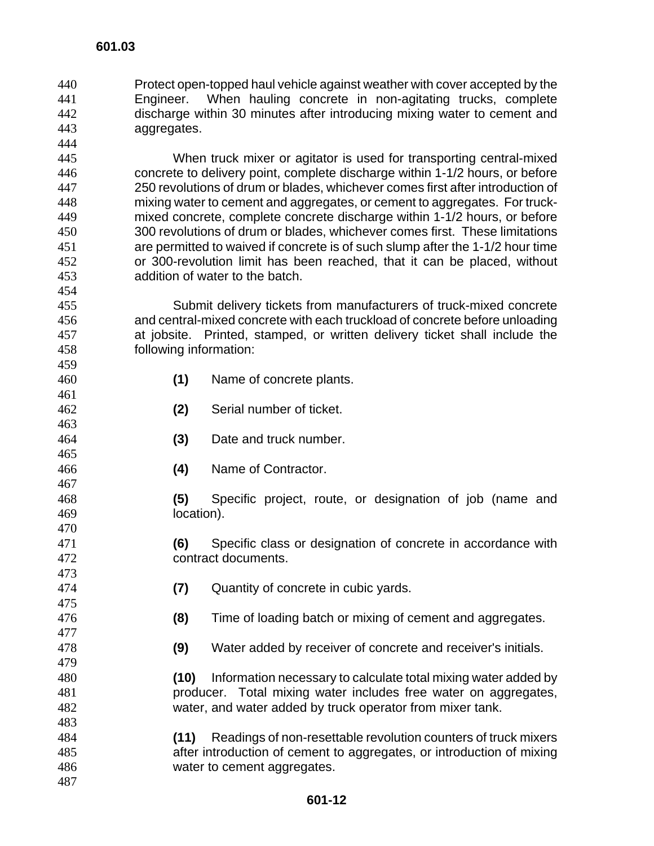Protect open-topped haul vehicle against weather with cover accepted by the Engineer. When hauling concrete in non-agitating trucks, complete discharge within 30 minutes after introducing mixing water to cement and aggregates. 

When truck mixer or agitator is used for transporting central-mixed concrete to delivery point, complete discharge within 1-1/2 hours, or before 250 revolutions of drum or blades, whichever comes first after introduction of mixing water to cement and aggregates, or cement to aggregates. For truck-mixed concrete, complete concrete discharge within 1-1/2 hours, or before 300 revolutions of drum or blades, whichever comes first. These limitations are permitted to waived if concrete is of such slump after the 1-1/2 hour time or 300-revolution limit has been reached, that it can be placed, without addition of water to the batch.

Submit delivery tickets from manufacturers of truck-mixed concrete and central-mixed concrete with each truckload of concrete before unloading at jobsite. Printed, stamped, or written delivery ticket shall include the following information:

- **(1)** Name of concrete plants.
- **(2)** Serial number of ticket.
- **(3)** Date and truck number.
- **(4)** Name of Contractor.

**(5)** Specific project, route, or designation of job (name and location).

- **(6)** Specific class or designation of concrete in accordance with contract documents.
- **(7)** Quantity of concrete in cubic yards.
- **(8)** Time of loading batch or mixing of cement and aggregates.
- **(9)** Water added by receiver of concrete and receiver's initials.

**(10)** Information necessary to calculate total mixing water added by producer. Total mixing water includes free water on aggregates, water, and water added by truck operator from mixer tank.

- **(11)** Readings of non-resettable revolution counters of truck mixers after introduction of cement to aggregates, or introduction of mixing water to cement aggregates.
-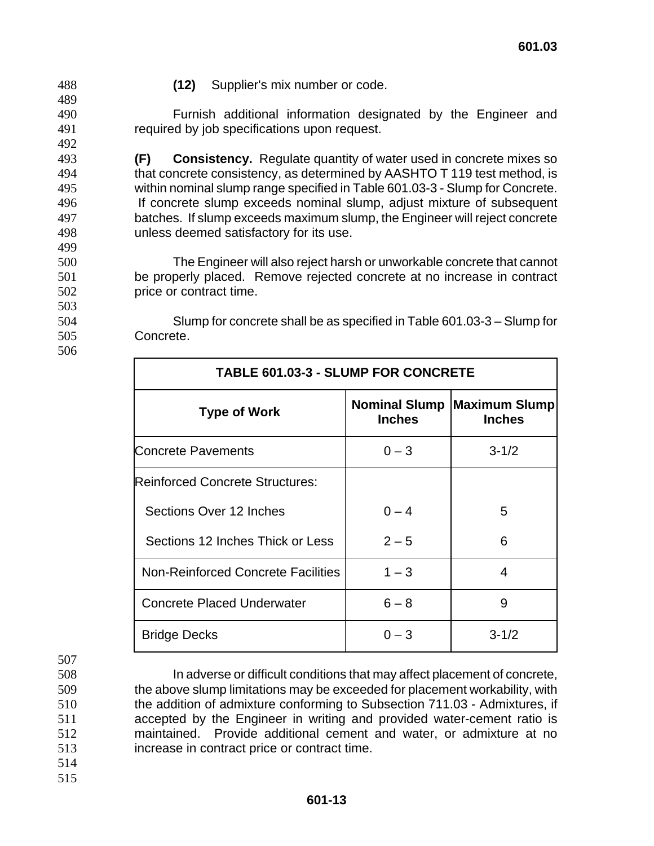**(12)** Supplier's mix number or code.

Furnish additional information designated by the Engineer and required by job specifications upon request.

**(F) Consistency.** Regulate quantity of water used in concrete mixes so that concrete consistency, as determined by AASHTO T 119 test method, is within nominal slump range specified in Table 601.03-3 - Slump for Concrete. If concrete slump exceeds nominal slump, adjust mixture of subsequent batches. If slump exceeds maximum slump, the Engineer will reject concrete unless deemed satisfactory for its use.

The Engineer will also reject harsh or unworkable concrete that cannot be properly placed. Remove rejected concrete at no increase in contract price or contract time.

Slump for concrete shall be as specified in Table 601.03-3 – Slump for Concrete.

| <b>TABLE 601.03-3 - SLUMP FOR CONCRETE</b> |               |                                                     |
|--------------------------------------------|---------------|-----------------------------------------------------|
| <b>Type of Work</b>                        | <b>Inches</b> | <b>Nominal Slump Maximum Slump</b><br><b>Inches</b> |
| <b>Concrete Pavements</b>                  | $0 - 3$       | $3 - 1/2$                                           |
| <b>IReinforced Concrete Structures:</b>    |               |                                                     |
| Sections Over 12 Inches                    | $0 - 4$       | 5                                                   |
| Sections 12 Inches Thick or Less           | $2 - 5$       | 6                                                   |
| <b>Non-Reinforced Concrete Facilities</b>  | $1 - 3$       | 4                                                   |
| <b>Concrete Placed Underwater</b>          | $6 - 8$       | 9                                                   |
| <b>Bridge Decks</b>                        | $0 - 3$       | $3 - 1/2$                                           |

In adverse or difficult conditions that may affect placement of concrete, the above slump limitations may be exceeded for placement workability, with the addition of admixture conforming to Subsection 711.03 - Admixtures, if accepted by the Engineer in writing and provided water-cement ratio is maintained. Provide additional cement and water, or admixture at no increase in contract price or contract time.